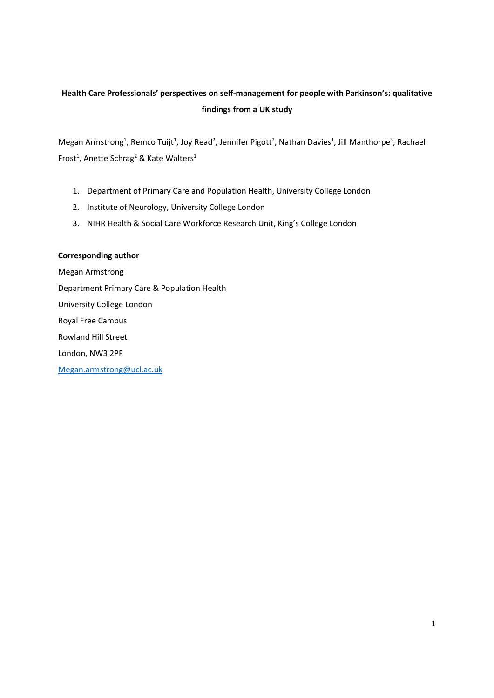# **Health Care Professionals' perspectives on self-management for people with Parkinson's: qualitative findings from a UK study**

Megan Armstrong<sup>1</sup>, Remco Tuijt<sup>1</sup>, Joy Read<sup>2</sup>, Jennifer Pigott<sup>2</sup>, Nathan Davies<sup>1</sup>, Jill Manthorpe<sup>3</sup>, Rachael Frost<sup>1</sup>, Anette Schrag<sup>2</sup> & Kate Walters<sup>1</sup>

- 1. Department of Primary Care and Population Health, University College London
- 2. Institute of Neurology, University College London
- 3. NIHR Health & Social Care Workforce Research Unit, King's College London

# **Corresponding author**

Megan Armstrong Department Primary Care & Population Health University College London Royal Free Campus Rowland Hill Street London, NW3 2PF Megan.armstrong@ucl.ac.uk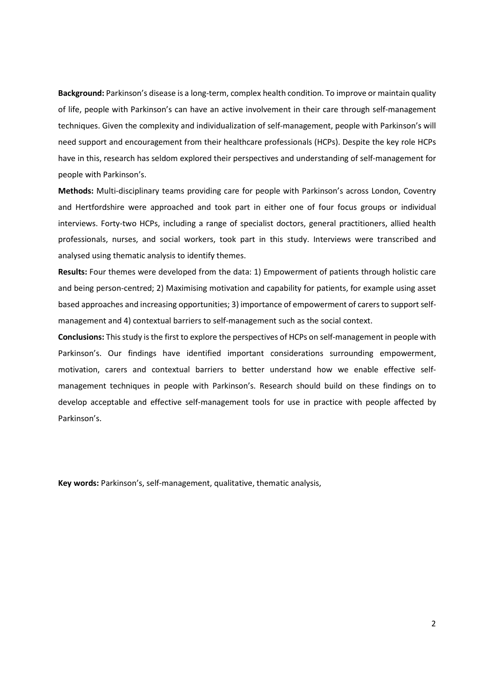**Background:** Parkinson's disease is a long-term, complex health condition. To improve or maintain quality of life, people with Parkinson's can have an active involvement in their care through self-management techniques. Given the complexity and individualization of self-management, people with Parkinson's will need support and encouragement from their healthcare professionals (HCPs). Despite the key role HCPs have in this, research has seldom explored their perspectives and understanding of self-management for people with Parkinson's.

**Methods:** Multi-disciplinary teams providing care for people with Parkinson's across London, Coventry and Hertfordshire were approached and took part in either one of four focus groups or individual interviews. Forty-two HCPs, including a range of specialist doctors, general practitioners, allied health professionals, nurses, and social workers, took part in this study. Interviews were transcribed and analysed using thematic analysis to identify themes.

**Results:** Four themes were developed from the data: 1) Empowerment of patients through holistic care and being person-centred; 2) Maximising motivation and capability for patients, for example using asset based approaches and increasing opportunities; 3) importance of empowerment of carers to support selfmanagement and 4) contextual barriers to self-management such as the social context.

**Conclusions:** This study is the first to explore the perspectives of HCPs on self-management in people with Parkinson's. Our findings have identified important considerations surrounding empowerment, motivation, carers and contextual barriers to better understand how we enable effective selfmanagement techniques in people with Parkinson's. Research should build on these findings on to develop acceptable and effective self-management tools for use in practice with people affected by Parkinson's.

**Key words:** Parkinson's, self-management, qualitative, thematic analysis,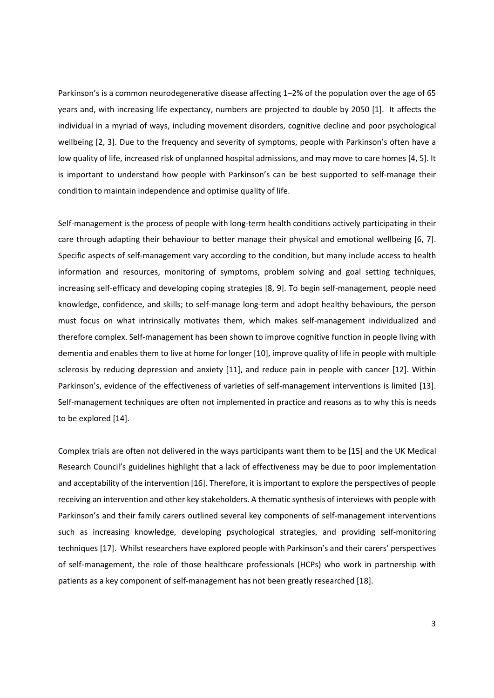Parkinson's is a common neurodegenerative disease affecting 1–2% of the population over the age of 65 years and, with increasing life expectancy, numbers are projected to double by 2050 [1]. It affects the individual in a myriad of ways, including movement disorders, cognitive decline and poor psychological wellbeing [2, 3]. Due to the frequency and severity of symptoms, people with Parkinson's often have a low quality of life, increased risk of unplanned hospital admissions, and may move to care homes [4, 5]. It is important to understand how people with Parkinson's can be best supported to self-manage their condition to maintain independence and optimise quality of life.

Self-management is the process of people with long-term health conditions actively participating in their care through adapting their behaviour to better manage their physical and emotional wellbeing [6, 7]. Specific aspects of self-management vary according to the condition, but many include access to health information and resources, monitoring of symptoms, problem solving and goal setting techniques, increasing self-efficacy and developing coping strategies [8, 9]. To begin self-management, people need knowledge, confidence, and skills; to self-manage long-term and adopt healthy behaviours, the person must focus on what intrinsically motivates them, which makes self-management individualized and therefore complex. Self-management has been shown to improve cognitive function in people living with dementia and enables them to live at home for longer [10], improve quality of life in people with multiple sclerosis by reducing depression and anxiety [11], and reduce pain in people with cancer [12]. Within Parkinson's, evidence of the effectiveness of varieties of self-management interventions is limited [13]. Self-management techniques are often not implemented in practice and reasons as to why this is needs to be explored [14].

Complex trials are often not delivered in the ways participants want them to be [15] and the UK Medical Research Council's guidelines highlight that a lack of effectiveness may be due to poor implementation and acceptability of the intervention [16]. Therefore, it is important to explore the perspectives of people receiving an intervention and other key stakeholders. A thematic synthesis of interviews with people with Parkinson's and their family carers outlined several key components of self-management interventions such as increasing knowledge, developing psychological strategies, and providing self-monitoring techniques [17]. Whilst researchers have explored people with Parkinson's and their carers' perspectives of self-management, the role of those healthcare professionals (HCPs) who work in partnership with patients as a key component of self-management has not been greatly researched [18].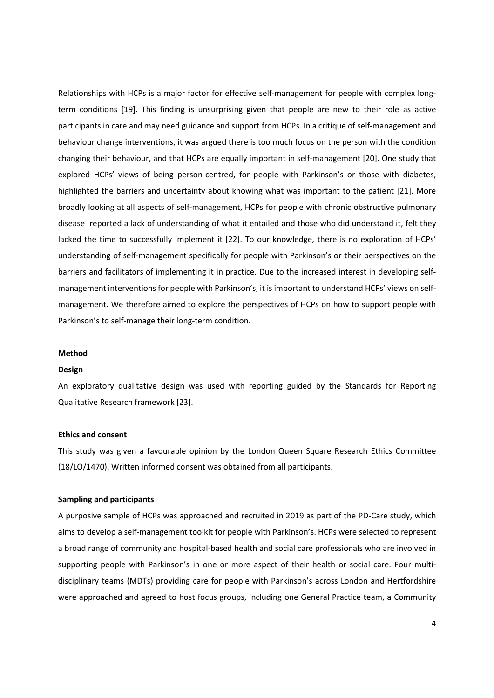Relationships with HCPs is a major factor for effective self-management for people with complex longterm conditions [19]. This finding is unsurprising given that people are new to their role as active participants in care and may need guidance and support from HCPs. In a critique of self-management and behaviour change interventions, it was argued there is too much focus on the person with the condition changing their behaviour, and that HCPs are equally important in self-management [20]. One study that explored HCPs' views of being person-centred, for people with Parkinson's or those with diabetes, highlighted the barriers and uncertainty about knowing what was important to the patient [21]. More broadly looking at all aspects of self-management, HCPs for people with chronic obstructive pulmonary disease reported a lack of understanding of what it entailed and those who did understand it, felt they lacked the time to successfully implement it [22]. To our knowledge, there is no exploration of HCPs' understanding of self-management specifically for people with Parkinson's or their perspectives on the barriers and facilitators of implementing it in practice. Due to the increased interest in developing selfmanagement interventions for people with Parkinson's, it is important to understand HCPs' views on selfmanagement. We therefore aimed to explore the perspectives of HCPs on how to support people with Parkinson's to self-manage their long-term condition.

#### **Method**

#### **Design**

An exploratory qualitative design was used with reporting guided by the Standards for Reporting Qualitative Research framework [23].

### **Ethics and consent**

This study was given a favourable opinion by the London Queen Square Research Ethics Committee (18/LO/1470). Written informed consent was obtained from all participants.

#### **Sampling and participants**

A purposive sample of HCPs was approached and recruited in 2019 as part of the PD-Care study, which aims to develop a self-management toolkit for people with Parkinson's. HCPs were selected to represent a broad range of community and hospital-based health and social care professionals who are involved in supporting people with Parkinson's in one or more aspect of their health or social care. Four multidisciplinary teams (MDTs) providing care for people with Parkinson's across London and Hertfordshire were approached and agreed to host focus groups, including one General Practice team, a Community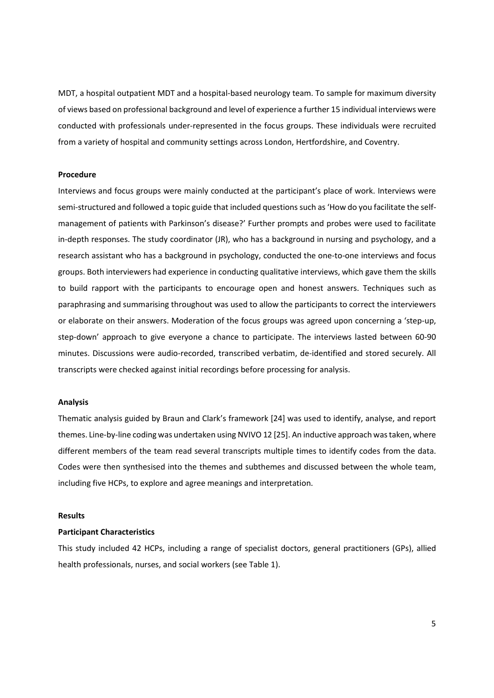MDT, a hospital outpatient MDT and a hospital-based neurology team. To sample for maximum diversity of views based on professional background and level of experience a further 15 individual interviews were conducted with professionals under-represented in the focus groups. These individuals were recruited from a variety of hospital and community settings across London, Hertfordshire, and Coventry.

#### **Procedure**

Interviews and focus groups were mainly conducted at the participant's place of work. Interviews were semi-structured and followed a topic guide that included questions such as 'How do you facilitate the selfmanagement of patients with Parkinson's disease?' Further prompts and probes were used to facilitate in-depth responses. The study coordinator (JR), who has a background in nursing and psychology, and a research assistant who has a background in psychology, conducted the one-to-one interviews and focus groups. Both interviewers had experience in conducting qualitative interviews, which gave them the skills to build rapport with the participants to encourage open and honest answers. Techniques such as paraphrasing and summarising throughout was used to allow the participants to correct the interviewers or elaborate on their answers. Moderation of the focus groups was agreed upon concerning a 'step-up, step-down' approach to give everyone a chance to participate. The interviews lasted between 60-90 minutes. Discussions were audio-recorded, transcribed verbatim, de-identified and stored securely. All transcripts were checked against initial recordings before processing for analysis.

# **Analysis**

Thematic analysis guided by Braun and Clark's framework [24] was used to identify, analyse, and report themes. Line-by-line coding was undertaken using NVIVO 12 [25]. An inductive approach was taken, where different members of the team read several transcripts multiple times to identify codes from the data. Codes were then synthesised into the themes and subthemes and discussed between the whole team, including five HCPs, to explore and agree meanings and interpretation.

### **Results**

# **Participant Characteristics**

This study included 42 HCPs, including a range of specialist doctors, general practitioners (GPs), allied health professionals, nurses, and social workers (see Table 1).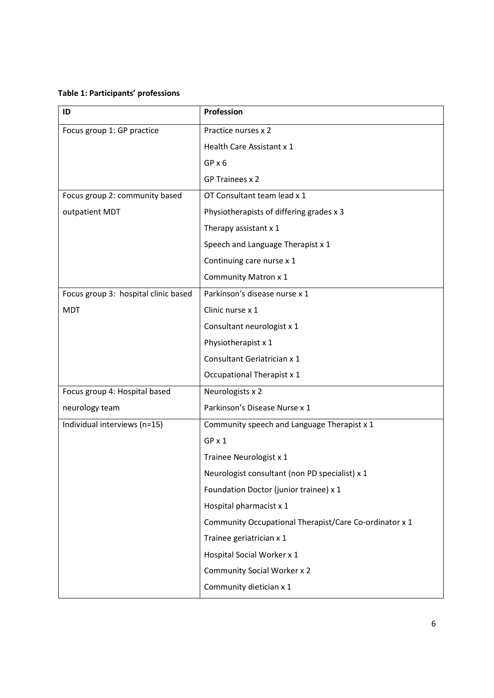# **Table 1: Participants' professions**

| ID                                   | Profession                                             |
|--------------------------------------|--------------------------------------------------------|
| Focus group 1: GP practice           | Practice nurses x 2                                    |
|                                      | Health Care Assistant x 1                              |
|                                      | $GP \times 6$                                          |
|                                      | GP Trainees x 2                                        |
| Focus group 2: community based       | OT Consultant team lead x 1                            |
| outpatient MDT                       | Physiotherapists of differing grades x 3               |
|                                      | Therapy assistant x 1                                  |
|                                      | Speech and Language Therapist x 1                      |
|                                      | Continuing care nurse x 1                              |
|                                      | Community Matron x 1                                   |
| Focus group 3: hospital clinic based | Parkinson's disease nurse x 1                          |
| <b>MDT</b>                           | Clinic nurse x 1                                       |
|                                      | Consultant neurologist x 1                             |
|                                      | Physiotherapist x 1                                    |
|                                      | Consultant Geriatrician x 1                            |
|                                      | Occupational Therapist x 1                             |
| Focus group 4: Hospital based        | Neurologists x 2                                       |
| neurology team                       | Parkinson's Disease Nurse x 1                          |
| Individual interviews (n=15)         | Community speech and Language Therapist x 1            |
|                                      | GP x 1                                                 |
|                                      | Trainee Neurologist x 1                                |
|                                      | Neurologist consultant (non PD specialist) x 1         |
|                                      | Foundation Doctor (junior trainee) x 1                 |
|                                      | Hospital pharmacist x 1                                |
|                                      | Community Occupational Therapist/Care Co-ordinator x 1 |
|                                      | Trainee geriatrician x 1                               |
|                                      | Hospital Social Worker x 1                             |
|                                      | <b>Community Social Worker x 2</b>                     |
|                                      | Community dietician x 1                                |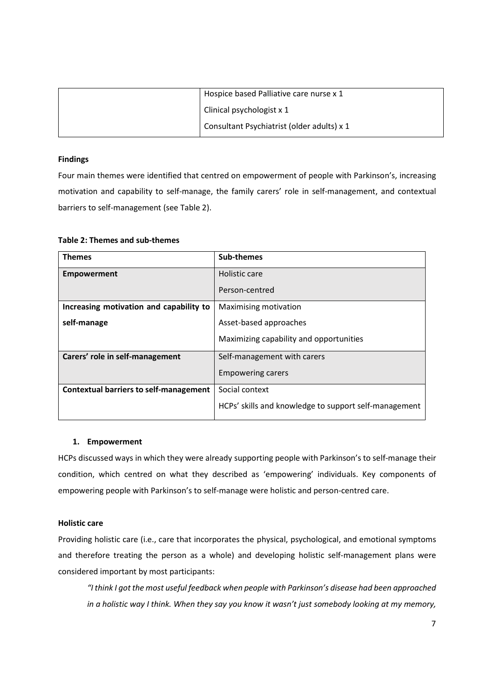| Hospice based Palliative care nurse x 1    |
|--------------------------------------------|
| Clinical psychologist x 1                  |
| Consultant Psychiatrist (older adults) x 1 |

# **Findings**

Four main themes were identified that centred on empowerment of people with Parkinson's, increasing motivation and capability to self-manage, the family carers' role in self-management, and contextual barriers to self-management (see Table 2).

| <b>Themes</b>                           | Sub-themes                                            |
|-----------------------------------------|-------------------------------------------------------|
| <b>Empowerment</b>                      | Holistic care                                         |
|                                         | Person-centred                                        |
| Increasing motivation and capability to | Maximising motivation                                 |
| self-manage                             | Asset-based approaches                                |
|                                         | Maximizing capability and opportunities               |
| Carers' role in self-management         | Self-management with carers                           |
|                                         | <b>Empowering carers</b>                              |
| Contextual barriers to self-management  | Social context                                        |
|                                         | HCPs' skills and knowledge to support self-management |

# **Table 2: Themes and sub-themes**

# **1. Empowerment**

HCPs discussed ways in which they were already supporting people with Parkinson's to self-manage their condition, which centred on what they described as 'empowering' individuals. Key components of empowering people with Parkinson's to self-manage were holistic and person-centred care.

# **Holistic care**

Providing holistic care (i.e., care that incorporates the physical, psychological, and emotional symptoms and therefore treating the person as a whole) and developing holistic self-management plans were considered important by most participants:

*"I think I got the most useful feedback when people with Parkinson's disease had been approached in a holistic way I think. When they say you know it wasn't just somebody looking at my memory,*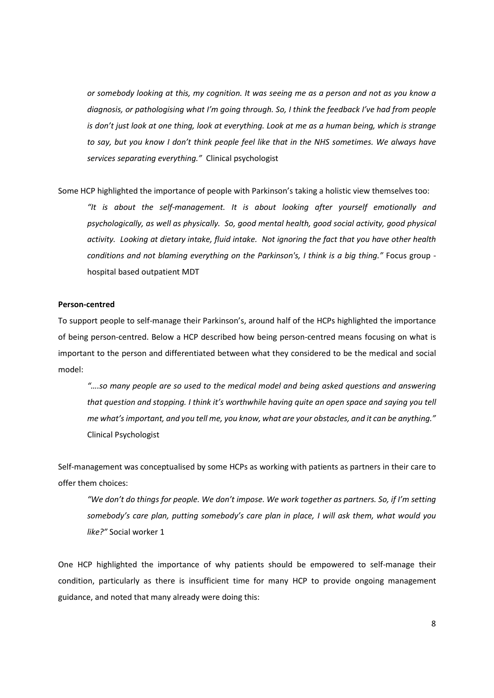*or somebody looking at this, my cognition. It was seeing me as a person and not as you know a diagnosis, or pathologising what I'm going through. So, I think the feedback I've had from people*  is don't just look at one thing, look at everything. Look at me as a human being, which is strange *to say, but you know I don't think people feel like that in the NHS sometimes. We always have services separating everything."* Clinical psychologist

Some HCP highlighted the importance of people with Parkinson's taking a holistic view themselves too:

*"It is about the self-management. It is about looking after yourself emotionally and psychologically, as well as physically. So, good mental health, good social activity, good physical activity. Looking at dietary intake, fluid intake. Not ignoring the fact that you have other health conditions and not blaming everything on the Parkinson's, I think is a big thing."* Focus group hospital based outpatient MDT

# **Person-centred**

To support people to self-manage their Parkinson's, around half of the HCPs highlighted the importance of being person-centred. Below a HCP described how being person-centred means focusing on what is important to the person and differentiated between what they considered to be the medical and social model:

*"….so many people are so used to the medical model and being asked questions and answering that question and stopping. I think it's worthwhile having quite an open space and saying you tell me what's important, and you tell me, you know, what are your obstacles, and it can be anything."*  Clinical Psychologist

Self-management was conceptualised by some HCPs as working with patients as partners in their care to offer them choices:

*"We don't do things for people. We don't impose. We work together as partners. So, if I'm setting somebody's care plan, putting somebody's care plan in place, I will ask them, what would you like?"* Social worker 1

One HCP highlighted the importance of why patients should be empowered to self-manage their condition, particularly as there is insufficient time for many HCP to provide ongoing management guidance, and noted that many already were doing this: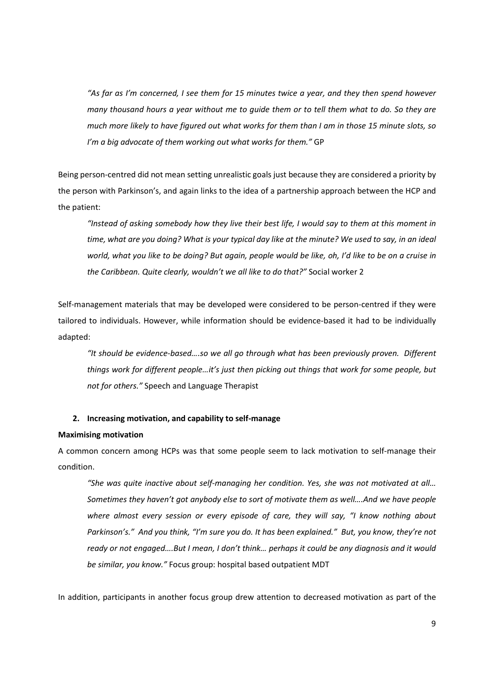*"As far as I'm concerned, I see them for 15 minutes twice a year, and they then spend however many thousand hours a year without me to guide them or to tell them what to do. So they are much more likely to have figured out what works for them than I am in those 15 minute slots, so I'm a big advocate of them working out what works for them."* GP

Being person-centred did not mean setting unrealistic goals just because they are considered a priority by the person with Parkinson's, and again links to the idea of a partnership approach between the HCP and the patient:

*"Instead of asking somebody how they live their best life, I would say to them at this moment in time, what are you doing? What is your typical day like at the minute? We used to say, in an ideal world, what you like to be doing? But again, people would be like, oh, I'd like to be on a cruise in the Caribbean. Quite clearly, wouldn't we all like to do that?"* Social worker 2

Self-management materials that may be developed were considered to be person-centred if they were tailored to individuals. However, while information should be evidence-based it had to be individually adapted:

*"It should be evidence-based….so we all go through what has been previously proven. Different things work for different people…it's just then picking out things that work for some people, but not for others."* Speech and Language Therapist

# **2. Increasing motivation, and capability to self-manage**

### **Maximising motivation**

A common concern among HCPs was that some people seem to lack motivation to self-manage their condition.

*"She was quite inactive about self-managing her condition. Yes, she was not motivated at all… Sometimes they haven't got anybody else to sort of motivate them as well….And we have people where almost every session or every episode of care, they will say, "I know nothing about Parkinson's." And you think, "I'm sure you do. It has been explained." But, you know, they're not ready or not engaged….But I mean, I don't think… perhaps it could be any diagnosis and it would be similar, you know."* Focus group: hospital based outpatient MDT

In addition, participants in another focus group drew attention to decreased motivation as part of the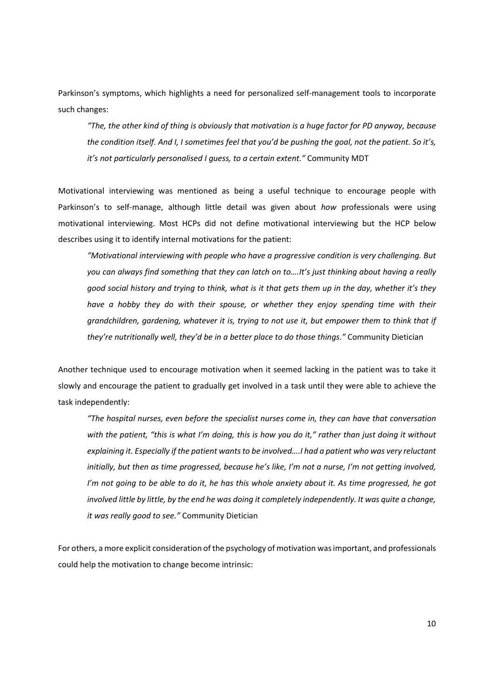Parkinson's symptoms, which highlights a need for personalized self-management tools to incorporate such changes:

*"The, the other kind of thing is obviously that motivation is a huge factor for PD anyway, because the condition itself. And I, I sometimes feel that you'd be pushing the goal, not the patient. So it's, it's not particularly personalised I guess, to a certain extent."* Community MDT

Motivational interviewing was mentioned as being a useful technique to encourage people with Parkinson's to self-manage, although little detail was given about *how* professionals were using motivational interviewing. Most HCPs did not define motivational interviewing but the HCP below describes using it to identify internal motivations for the patient:

*"Motivational interviewing with people who have a progressive condition is very challenging. But you can always find something that they can latch on to….It's just thinking about having a really good social history and trying to think, what is it that gets them up in the day, whether it's they have a hobby they do with their spouse, or whether they enjoy spending time with their grandchildren, gardening, whatever it is, trying to not use it, but empower them to think that if they're nutritionally well, they'd be in a better place to do those things."* Community Dietician

Another technique used to encourage motivation when it seemed lacking in the patient was to take it slowly and encourage the patient to gradually get involved in a task until they were able to achieve the task independently:

*"The hospital nurses, even before the specialist nurses come in, they can have that conversation with the patient, "this is what I'm doing, this is how you do it," rather than just doing it without explaining it. Especially if the patient wants to be involved….I had a patient who was very reluctant initially, but then as time progressed, because he's like, I'm not a nurse, I'm not getting involved, I'm not going to be able to do it, he has this whole anxiety about it. As time progressed, he got involved little by little, by the end he was doing it completely independently. It was quite a change, it was really good to see."* Community Dietician

For others, a more explicit consideration of the psychology of motivation was important, and professionals could help the motivation to change become intrinsic: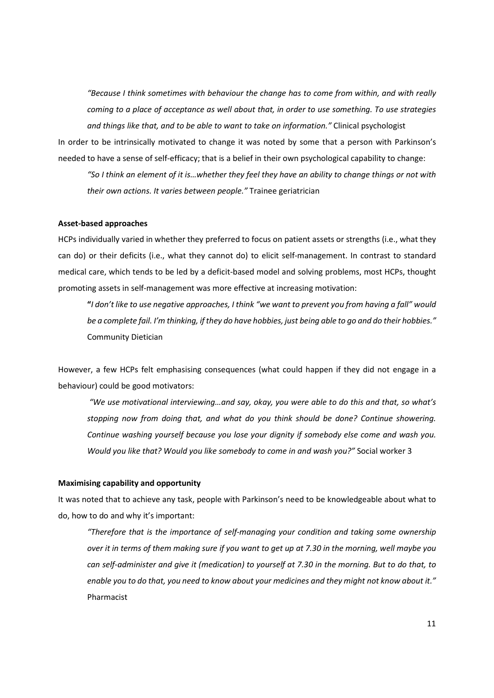*"Because I think sometimes with behaviour the change has to come from within, and with really coming to a place of acceptance as well about that, in order to use something. To use strategies and things like that, and to be able to want to take on information."* Clinical psychologist

In order to be intrinsically motivated to change it was noted by some that a person with Parkinson's needed to have a sense of self-efficacy; that is a belief in their own psychological capability to change:

*"So I think an element of it is…whether they feel they have an ability to change things or not with their own actions. It varies between people."* Trainee geriatrician

# **Asset-based approaches**

HCPs individually varied in whether they preferred to focus on patient assets or strengths (i.e., what they can do) or their deficits (i.e., what they cannot do) to elicit self-management. In contrast to standard medical care, which tends to be led by a deficit-based model and solving problems, most HCPs, thought promoting assets in self-management was more effective at increasing motivation:

**"***I don't like to use negative approaches, I think "we want to prevent you from having a fall" would be a complete fail. I'm thinking, if they do have hobbies, just being able to go and do their hobbies."* Community Dietician

However, a few HCPs felt emphasising consequences (what could happen if they did not engage in a behaviour) could be good motivators:

 *"We use motivational interviewing…and say, okay, you were able to do this and that, so what's stopping now from doing that, and what do you think should be done? Continue showering. Continue washing yourself because you lose your dignity if somebody else come and wash you. Would you like that? Would you like somebody to come in and wash you?"* Social worker 3

### **Maximising capability and opportunity**

It was noted that to achieve any task, people with Parkinson's need to be knowledgeable about what to do, how to do and why it's important:

*"Therefore that is the importance of self-managing your condition and taking some ownership over it in terms of them making sure if you want to get up at 7.30 in the morning, well maybe you can self-administer and give it (medication) to yourself at 7.30 in the morning. But to do that, to enable you to do that, you need to know about your medicines and they might not know about it."* Pharmacist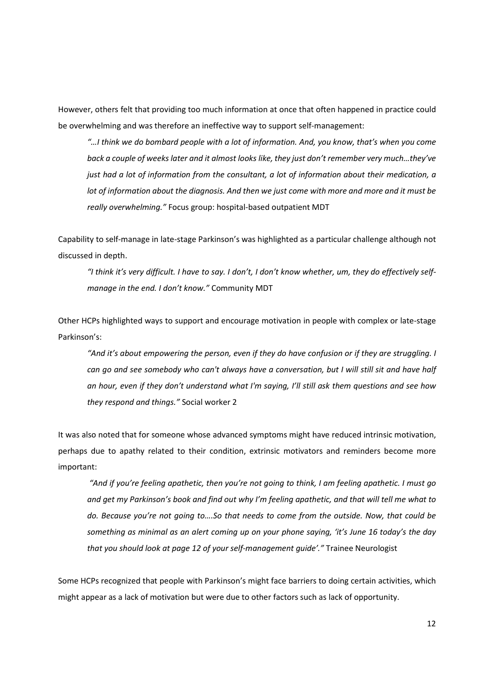However, others felt that providing too much information at once that often happened in practice could be overwhelming and was therefore an ineffective way to support self-management:

*"…I think we do bombard people with a lot of information. And, you know, that's when you come back a couple of weeks later and it almost looks like, they just don't remember very much…they've just had a lot of information from the consultant, a lot of information about their medication, a lot of information about the diagnosis. And then we just come with more and more and it must be really overwhelming."* Focus group: hospital-based outpatient MDT

Capability to self-manage in late-stage Parkinson's was highlighted as a particular challenge although not discussed in depth.

*"I think it's very difficult. I have to say. I don't, I don't know whether, um, they do effectively selfmanage in the end. I don't know."* Community MDT

Other HCPs highlighted ways to support and encourage motivation in people with complex or late-stage Parkinson's:

*"And it's about empowering the person, even if they do have confusion or if they are struggling. I can go and see somebody who can't always have a conversation, but I will still sit and have half an hour, even if they don't understand what I'm saying, I'll still ask them questions and see how they respond and things."* Social worker 2

It was also noted that for someone whose advanced symptoms might have reduced intrinsic motivation, perhaps due to apathy related to their condition, extrinsic motivators and reminders become more important:

 *"And if you're feeling apathetic, then you're not going to think, I am feeling apathetic. I must go and get my Parkinson's book and find out why I'm feeling apathetic, and that will tell me what to do. Because you're not going to….So that needs to come from the outside. Now, that could be something as minimal as an alert coming up on your phone saying, 'it's June 16 today's the day that you should look at page 12 of your self-management guide'."* Trainee Neurologist

Some HCPs recognized that people with Parkinson's might face barriers to doing certain activities, which might appear as a lack of motivation but were due to other factors such as lack of opportunity.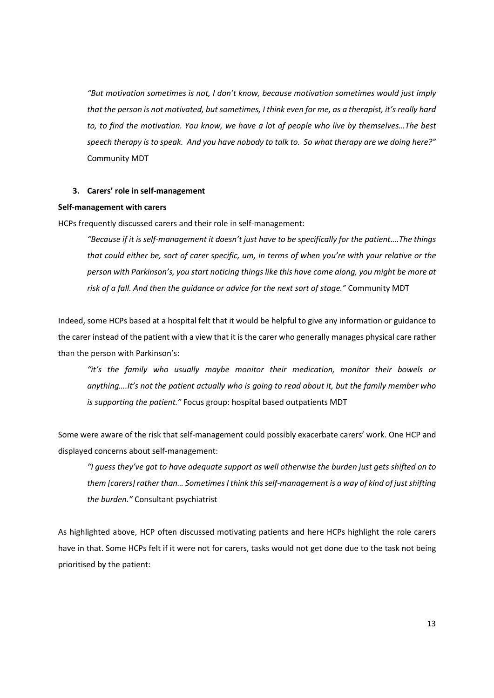*"But motivation sometimes is not, I don't know, because motivation sometimes would just imply that the person is not motivated, but sometimes, I think even for me, as a therapist, it's really hard to, to find the motivation. You know, we have a lot of people who live by themselves…The best speech therapy is to speak. And you have nobody to talk to. So what therapy are we doing here?"*  Community MDT

# **3. Carers' role in self-management**

### **Self-management with carers**

HCPs frequently discussed carers and their role in self-management:

*"Because if it is self-management it doesn't just have to be specifically for the patient….The things that could either be, sort of carer specific, um, in terms of when you're with your relative or the person with Parkinson's, you start noticing things like this have come along, you might be more at risk of a fall. And then the guidance or advice for the next sort of stage."* Community MDT

Indeed, some HCPs based at a hospital felt that it would be helpful to give any information or guidance to the carer instead of the patient with a view that it is the carer who generally manages physical care rather than the person with Parkinson's:

*"it's the family who usually maybe monitor their medication, monitor their bowels or anything….It's not the patient actually who is going to read about it, but the family member who is supporting the patient."* Focus group: hospital based outpatients MDT

Some were aware of the risk that self-management could possibly exacerbate carers' work. One HCP and displayed concerns about self-management:

*"I guess they've got to have adequate support as well otherwise the burden just gets shifted on to them [carers] rather than… Sometimes I think this self-management is a way of kind of just shifting the burden."* Consultant psychiatrist

As highlighted above, HCP often discussed motivating patients and here HCPs highlight the role carers have in that. Some HCPs felt if it were not for carers, tasks would not get done due to the task not being prioritised by the patient: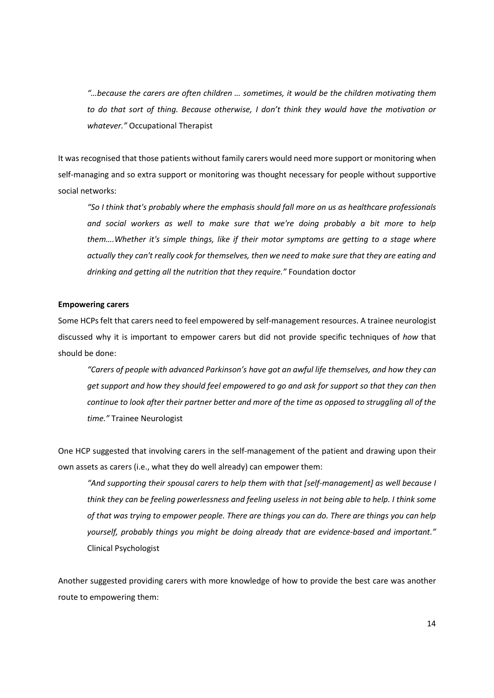*"…because the carers are often children … sometimes, it would be the children motivating them to do that sort of thing. Because otherwise, I don't think they would have the motivation or whatever."* Occupational Therapist

It was recognised that those patients without family carers would need more support or monitoring when self-managing and so extra support or monitoring was thought necessary for people without supportive social networks:

*"So I think that's probably where the emphasis should fall more on us as healthcare professionals and social workers as well to make sure that we're doing probably a bit more to help them….Whether it's simple things, like if their motor symptoms are getting to a stage where actually they can't really cook for themselves, then we need to make sure that they are eating and drinking and getting all the nutrition that they require."* Foundation doctor

# **Empowering carers**

Some HCPs felt that carers need to feel empowered by self-management resources. A trainee neurologist discussed why it is important to empower carers but did not provide specific techniques of *how* that should be done:

*"Carers of people with advanced Parkinson's have got an awful life themselves, and how they can get support and how they should feel empowered to go and ask for support so that they can then continue to look after their partner better and more of the time as opposed to struggling all of the time."* Trainee Neurologist

One HCP suggested that involving carers in the self-management of the patient and drawing upon their own assets as carers (i.e., what they do well already) can empower them:

*"And supporting their spousal carers to help them with that [self-management] as well because I think they can be feeling powerlessness and feeling useless in not being able to help. I think some of that was trying to empower people. There are things you can do. There are things you can help yourself, probably things you might be doing already that are evidence-based and important."*  Clinical Psychologist

Another suggested providing carers with more knowledge of how to provide the best care was another route to empowering them: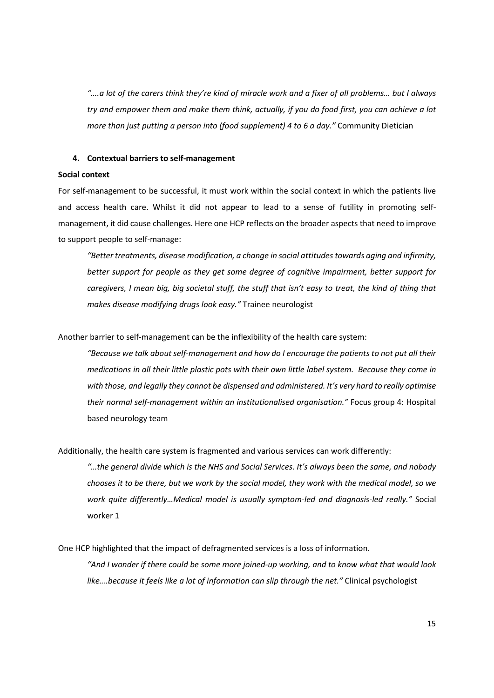*"….a lot of the carers think they're kind of miracle work and a fixer of all problems… but I always try and empower them and make them think, actually, if you do food first, you can achieve a lot more than just putting a person into (food supplement) 4 to 6 a day."* Community Dietician

### **4. Contextual barriers to self-management**

#### **Social context**

For self-management to be successful, it must work within the social context in which the patients live and access health care. Whilst it did not appear to lead to a sense of futility in promoting selfmanagement, it did cause challenges. Here one HCP reflects on the broader aspects that need to improve to support people to self-manage:

*"Better treatments, disease modification, a change in social attitudes towards aging and infirmity, better support for people as they get some degree of cognitive impairment, better support for caregivers, I mean big, big societal stuff, the stuff that isn't easy to treat, the kind of thing that makes disease modifying drugs look easy."* Trainee neurologist

Another barrier to self-management can be the inflexibility of the health care system:

*"Because we talk about self-management and how do I encourage the patients to not put all their medications in all their little plastic pots with their own little label system. Because they come in with those, and legally they cannot be dispensed and administered. It's very hard to really optimise their normal self-management within an institutionalised organisation."* Focus group 4: Hospital based neurology team

Additionally, the health care system is fragmented and various services can work differently:

*"…the general divide which is the NHS and Social Services. It's always been the same, and nobody chooses it to be there, but we work by the social model, they work with the medical model, so we work quite differently…Medical model is usually symptom-led and diagnosis-led really."* Social worker 1

One HCP highlighted that the impact of defragmented services is a loss of information.

*"And I wonder if there could be some more joined-up working, and to know what that would look like….because it feels like a lot of information can slip through the net."* Clinical psychologist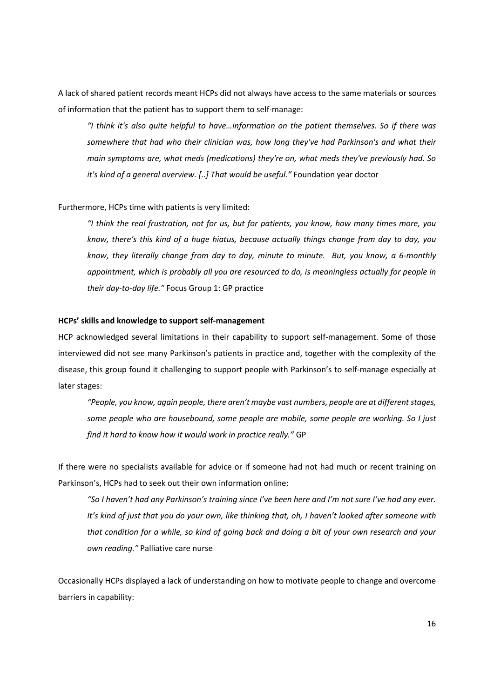A lack of shared patient records meant HCPs did not always have access to the same materials or sources of information that the patient has to support them to self-manage:

*"I think it's also quite helpful to have…information on the patient themselves. So if there was somewhere that had who their clinician was, how long they've had Parkinson's and what their main symptoms are, what meds (medications) they're on, what meds they've previously had. So it's kind of a general overview. [..] That would be useful."* Foundation year doctor

# Furthermore, HCPs time with patients is very limited:

*"I think the real frustration, not for us, but for patients, you know, how many times more, you know, there's this kind of a huge hiatus, because actually things change from day to day, you know, they literally change from day to day, minute to minute. But, you know, a 6-monthly appointment, which is probably all you are resourced to do, is meaningless actually for people in their day-to-day life."* Focus Group 1: GP practice

# **HCPs' skills and knowledge to support self-management**

HCP acknowledged several limitations in their capability to support self-management. Some of those interviewed did not see many Parkinson's patients in practice and, together with the complexity of the disease, this group found it challenging to support people with Parkinson's to self-manage especially at later stages:

*"People, you know, again people, there aren't maybe vast numbers, people are at different stages, some people who are housebound, some people are mobile, some people are working. So I just find it hard to know how it would work in practice really."* GP

If there were no specialists available for advice or if someone had not had much or recent training on Parkinson's, HCPs had to seek out their own information online:

*"So I haven't had any Parkinson's training since I've been here and I'm not sure I've had any ever. It's kind of just that you do your own, like thinking that, oh, I haven't looked after someone with that condition for a while, so kind of going back and doing a bit of your own research and your own reading."* Palliative care nurse

Occasionally HCPs displayed a lack of understanding on how to motivate people to change and overcome barriers in capability: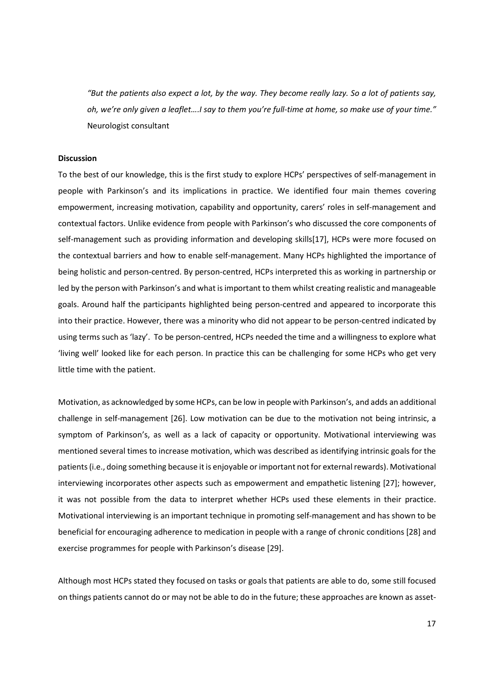*"But the patients also expect a lot, by the way. They become really lazy. So a lot of patients say, oh, we're only given a leaflet….I say to them you're full-time at home, so make use of your time."* Neurologist consultant

# **Discussion**

To the best of our knowledge, this is the first study to explore HCPs' perspectives of self-management in people with Parkinson's and its implications in practice. We identified four main themes covering empowerment, increasing motivation, capability and opportunity, carers' roles in self-management and contextual factors. Unlike evidence from people with Parkinson's who discussed the core components of self-management such as providing information and developing skills[17], HCPs were more focused on the contextual barriers and how to enable self-management. Many HCPs highlighted the importance of being holistic and person-centred. By person-centred, HCPs interpreted this as working in partnership or led by the person with Parkinson's and what is important to them whilst creating realistic and manageable goals. Around half the participants highlighted being person-centred and appeared to incorporate this into their practice. However, there was a minority who did not appear to be person-centred indicated by using terms such as 'lazy'. To be person-centred, HCPs needed the time and a willingness to explore what 'living well' looked like for each person. In practice this can be challenging for some HCPs who get very little time with the patient.

Motivation, as acknowledged by some HCPs, can be low in people with Parkinson's, and adds an additional challenge in self-management [26]. Low motivation can be due to the motivation not being intrinsic, a symptom of Parkinson's, as well as a lack of capacity or opportunity. Motivational interviewing was mentioned several times to increase motivation, which was described as identifying intrinsic goals for the patients (i.e., doing something because it is enjoyable or important not for external rewards). Motivational interviewing incorporates other aspects such as empowerment and empathetic listening [27]; however, it was not possible from the data to interpret whether HCPs used these elements in their practice. Motivational interviewing is an important technique in promoting self-management and has shown to be beneficial for encouraging adherence to medication in people with a range of chronic conditions [28] and exercise programmes for people with Parkinson's disease [29].

Although most HCPs stated they focused on tasks or goals that patients are able to do, some still focused on things patients cannot do or may not be able to do in the future; these approaches are known as asset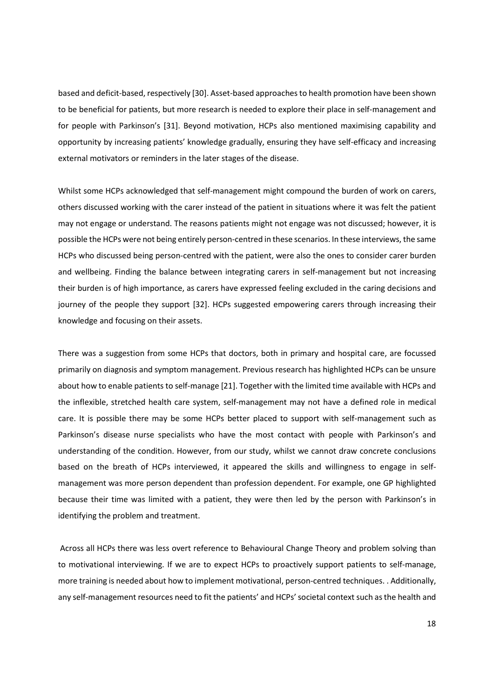based and deficit-based, respectively [30]. Asset-based approaches to health promotion have been shown to be beneficial for patients, but more research is needed to explore their place in self-management and for people with Parkinson's [31]. Beyond motivation, HCPs also mentioned maximising capability and opportunity by increasing patients' knowledge gradually, ensuring they have self-efficacy and increasing external motivators or reminders in the later stages of the disease.

Whilst some HCPs acknowledged that self-management might compound the burden of work on carers, others discussed working with the carer instead of the patient in situations where it was felt the patient may not engage or understand. The reasons patients might not engage was not discussed; however, it is possible the HCPs were not being entirely person-centred in these scenarios. In these interviews, the same HCPs who discussed being person-centred with the patient, were also the ones to consider carer burden and wellbeing. Finding the balance between integrating carers in self-management but not increasing their burden is of high importance, as carers have expressed feeling excluded in the caring decisions and journey of the people they support [32]. HCPs suggested empowering carers through increasing their knowledge and focusing on their assets.

There was a suggestion from some HCPs that doctors, both in primary and hospital care, are focussed primarily on diagnosis and symptom management. Previous research has highlighted HCPs can be unsure about how to enable patients to self-manage [21]. Together with the limited time available with HCPs and the inflexible, stretched health care system, self-management may not have a defined role in medical care. It is possible there may be some HCPs better placed to support with self-management such as Parkinson's disease nurse specialists who have the most contact with people with Parkinson's and understanding of the condition. However, from our study, whilst we cannot draw concrete conclusions based on the breath of HCPs interviewed, it appeared the skills and willingness to engage in selfmanagement was more person dependent than profession dependent. For example, one GP highlighted because their time was limited with a patient, they were then led by the person with Parkinson's in identifying the problem and treatment.

 Across all HCPs there was less overt reference to Behavioural Change Theory and problem solving than to motivational interviewing. If we are to expect HCPs to proactively support patients to self-manage, more training is needed about how to implement motivational, person-centred techniques. . Additionally, any self-management resources need to fit the patients' and HCPs' societal context such as the health and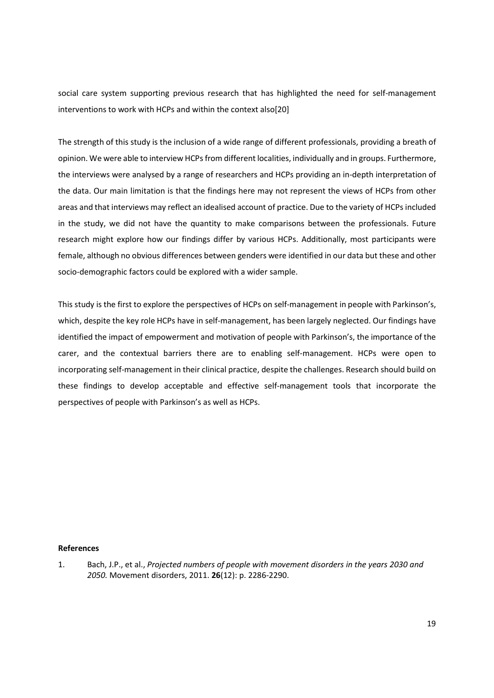social care system supporting previous research that has highlighted the need for self-management interventions to work with HCPs and within the context also[20]

The strength of this study is the inclusion of a wide range of different professionals, providing a breath of opinion. We were able to interview HCPs from different localities, individually and in groups. Furthermore, the interviews were analysed by a range of researchers and HCPs providing an in-depth interpretation of the data. Our main limitation is that the findings here may not represent the views of HCPs from other areas and that interviews may reflect an idealised account of practice. Due to the variety of HCPs included in the study, we did not have the quantity to make comparisons between the professionals. Future research might explore how our findings differ by various HCPs. Additionally, most participants were female, although no obvious differences between genders were identified in our data but these and other socio-demographic factors could be explored with a wider sample.

This study is the first to explore the perspectives of HCPs on self-management in people with Parkinson's, which, despite the key role HCPs have in self-management, has been largely neglected. Our findings have identified the impact of empowerment and motivation of people with Parkinson's, the importance of the carer, and the contextual barriers there are to enabling self-management. HCPs were open to incorporating self-management in their clinical practice, despite the challenges. Research should build on these findings to develop acceptable and effective self-management tools that incorporate the perspectives of people with Parkinson's as well as HCPs.

# **References**

1. Bach, J.P., et al., *Projected numbers of people with movement disorders in the years 2030 and 2050.* Movement disorders, 2011. **26**(12): p. 2286-2290.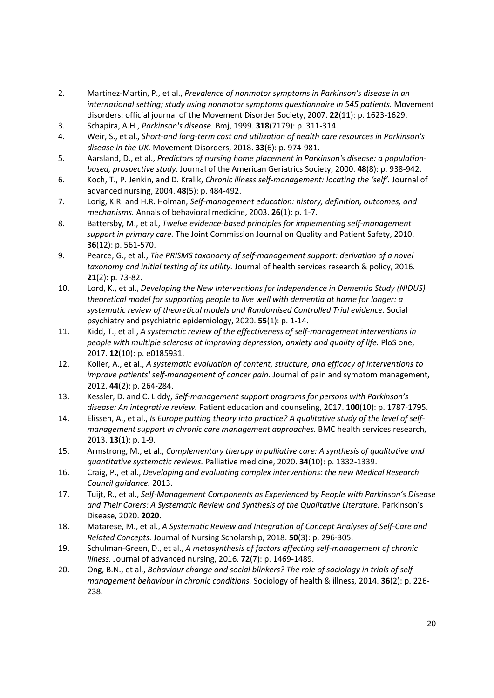- 2. Martinez‐Martin, P., et al., *Prevalence of nonmotor symptoms in Parkinson's disease in an international setting; study using nonmotor symptoms questionnaire in 545 patients.* Movement disorders: official journal of the Movement Disorder Society, 2007. **22**(11): p. 1623-1629.
- 3. Schapira, A.H., *Parkinson's disease.* Bmj, 1999. **318**(7179): p. 311-314.
- 4. Weir, S., et al., *Short‐and long‐term cost and utilization of health care resources in Parkinson's disease in the UK.* Movement Disorders, 2018. **33**(6): p. 974-981.
- 5. Aarsland, D., et al., *Predictors of nursing home placement in Parkinson's disease: a population‐ based, prospective study.* Journal of the American Geriatrics Society, 2000. **48**(8): p. 938-942.
- 6. Koch, T., P. Jenkin, and D. Kralik, *Chronic illness self‐management: locating the 'self'.* Journal of advanced nursing, 2004. **48**(5): p. 484-492.
- 7. Lorig, K.R. and H.R. Holman, *Self-management education: history, definition, outcomes, and mechanisms.* Annals of behavioral medicine, 2003. **26**(1): p. 1-7.
- 8. Battersby, M., et al., *Twelve evidence-based principles for implementing self-management support in primary care.* The Joint Commission Journal on Quality and Patient Safety, 2010. **36**(12): p. 561-570.
- 9. Pearce, G., et al., *The PRISMS taxonomy of self-management support: derivation of a novel taxonomy and initial testing of its utility.* Journal of health services research & policy, 2016. **21**(2): p. 73-82.
- 10. Lord, K., et al., *Developing the New Interventions for independence in Dementia Study (NIDUS) theoretical model for supporting people to live well with dementia at home for longer: a systematic review of theoretical models and Randomised Controlled Trial evidence.* Social psychiatry and psychiatric epidemiology, 2020. **55**(1): p. 1-14.
- 11. Kidd, T., et al., *A systematic review of the effectiveness of self-management interventions in people with multiple sclerosis at improving depression, anxiety and quality of life.* PloS one, 2017. **12**(10): p. e0185931.
- 12. Koller, A., et al., *A systematic evaluation of content, structure, and efficacy of interventions to improve patients' self-management of cancer pain.* Journal of pain and symptom management, 2012. **44**(2): p. 264-284.
- 13. Kessler, D. and C. Liddy, *Self-management support programs for persons with Parkinson's disease: An integrative review.* Patient education and counseling, 2017. **100**(10): p. 1787-1795.
- 14. Elissen, A., et al., *Is Europe putting theory into practice? A qualitative study of the level of selfmanagement support in chronic care management approaches.* BMC health services research, 2013. **13**(1): p. 1-9.
- 15. Armstrong, M., et al., *Complementary therapy in palliative care: A synthesis of qualitative and quantitative systematic reviews.* Palliative medicine, 2020. **34**(10): p. 1332-1339.
- 16. Craig, P., et al., *Developing and evaluating complex interventions: the new Medical Research Council guidance.* 2013.
- 17. Tuijt, R., et al., *Self-Management Components as Experienced by People with Parkinson's Disease and Their Carers: A Systematic Review and Synthesis of the Qualitative Literature.* Parkinson's Disease, 2020. **2020**.
- 18. Matarese, M., et al., *A Systematic Review and Integration of Concept Analyses of Self‐Care and Related Concepts.* Journal of Nursing Scholarship, 2018. **50**(3): p. 296-305.
- 19. Schulman‐Green, D., et al., *A metasynthesis of factors affecting self‐management of chronic illness.* Journal of advanced nursing, 2016. **72**(7): p. 1469-1489.
- 20. Ong, B.N., et al., *Behaviour change and social blinkers? The role of sociology in trials of self‐ management behaviour in chronic conditions.* Sociology of health & illness, 2014. **36**(2): p. 226- 238.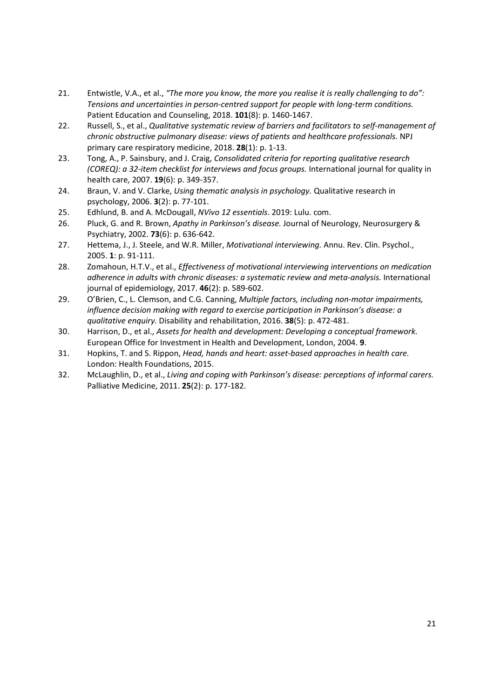- 21. Entwistle, V.A., et al., *"The more you know, the more you realise it is really challenging to do": Tensions and uncertainties in person-centred support for people with long-term conditions.* Patient Education and Counseling, 2018. **101**(8): p. 1460-1467.
- 22. Russell, S., et al., *Qualitative systematic review of barriers and facilitators to self-management of chronic obstructive pulmonary disease: views of patients and healthcare professionals.* NPJ primary care respiratory medicine, 2018. **28**(1): p. 1-13.
- 23. Tong, A., P. Sainsbury, and J. Craig, *Consolidated criteria for reporting qualitative research (COREQ): a 32-item checklist for interviews and focus groups.* International journal for quality in health care, 2007. **19**(6): p. 349-357.
- 24. Braun, V. and V. Clarke, *Using thematic analysis in psychology.* Qualitative research in psychology, 2006. **3**(2): p. 77-101.
- 25. Edhlund, B. and A. McDougall, *NVivo 12 essentials*. 2019: Lulu. com.
- 26. Pluck, G. and R. Brown, *Apathy in Parkinson's disease.* Journal of Neurology, Neurosurgery & Psychiatry, 2002. **73**(6): p. 636-642.
- 27. Hettema, J., J. Steele, and W.R. Miller, *Motivational interviewing.* Annu. Rev. Clin. Psychol., 2005. **1**: p. 91-111.
- 28. Zomahoun, H.T.V., et al., *Effectiveness of motivational interviewing interventions on medication adherence in adults with chronic diseases: a systematic review and meta-analysis.* International journal of epidemiology, 2017. **46**(2): p. 589-602.
- 29. O'Brien, C., L. Clemson, and C.G. Canning, *Multiple factors, including non-motor impairments, influence decision making with regard to exercise participation in Parkinson's disease: a qualitative enquiry.* Disability and rehabilitation, 2016. **38**(5): p. 472-481.
- 30. Harrison, D., et al., *Assets for health and development: Developing a conceptual framework.* European Office for Investment in Health and Development, London, 2004. **9**.
- 31. Hopkins, T. and S. Rippon, *Head, hands and heart: asset-based approaches in health care.* London: Health Foundations, 2015.
- 32. McLaughlin, D., et al., *Living and coping with Parkinson's disease: perceptions of informal carers.* Palliative Medicine, 2011. **25**(2): p. 177-182.